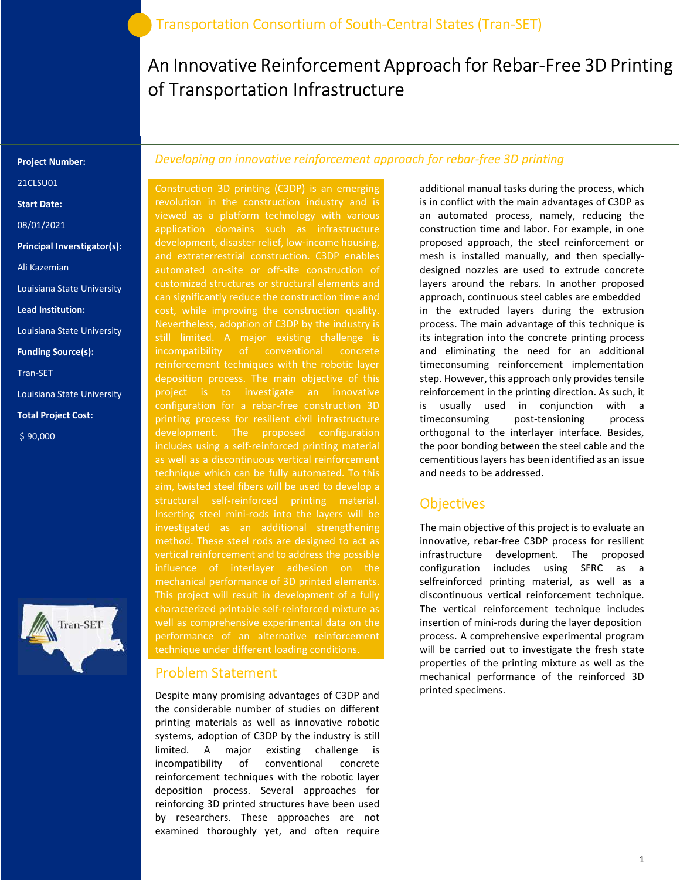# An Innovative Reinforcement Approach for Rebar-Free 3D Printing of Transportation Infrastructure

#### Project Number:

21CLSU01

Start Date:

08/01/2021

Principal Inverstigator(s):

Ali Kazemian

Louisiana State University

Lead Institution:

Louisiana State University

Funding Source(s):

Tran-SET

Louisiana State University

Total Project Cost:

\$ 90,000



#### Developing an innovative reinforcement approach for rebar-free 3D printing

Construction 3D printing (C3DP) is an emerging revolution in the construction industry and is viewed as a platform technology with various application domains such as infrastructure development, disaster relief, low-income housing, and extraterrestrial construction. C3DP enables automated on-site or off-site construction of customized structures or structural elements and can significantly reduce the construction time and cost, while improving the construction quality. still limited. A major existing challenge is incompatibility of conventional concrete deposition process. The main objective of this project is to investigate an innovative configuration for a rebar-free construction 3D printing process for resilient civil infrastructure development. The proposed configuration includes using a self-reinforced printing material as well as a discontinuous vertical reinforcement technique which can be fully automated. To this aim, twisted steel fibers will be used to develop a structural self-reinforced printing material. Inserting steel mini-rods into the layers will be investigated as an additional strengthening method. These steel rods are designed to act as vertical reinforcement and to address the possible This project will result in development of a fully characterized printable self-reinforced mixture as performance of an alternative reinforcement technique under different loading conditions.

#### Problem Statement

Despite many promising advantages of C3DP and the considerable number of studies on different printing materials as well as innovative robotic systems, adoption of C3DP by the industry is still limited. A major existing challenge is incompatibility of conventional concrete reinforcement techniques with the robotic layer deposition process. Several approaches for reinforcing 3D printed structures have been used by researchers. These approaches are not examined thoroughly yet, and often require

additional manual tasks during the process, which is in conflict with the main advantages of C3DP as an automated process, namely, reducing the construction time and labor. For example, in one proposed approach, the steel reinforcement or mesh is installed manually, and then speciallydesigned nozzles are used to extrude concrete layers around the rebars. In another proposed approach, continuous steel cables are embedded in the extruded layers during the extrusion process. The main advantage of this technique is its integration into the concrete printing process and eliminating the need for an additional timeconsuming reinforcement implementation step. However, this approach only provides tensile reinforcement in the printing direction. As such, it is usually used in conjunction with a timeconsuming post-tensioning process orthogonal to the interlayer interface. Besides, the poor bonding between the steel cable and the cementitious layers has been identified as an issue and needs to be addressed.

#### **Objectives**

The main objective of this project is to evaluate an innovative, rebar-free C3DP process for resilient infrastructure development. The proposed configuration includes using SFRC as a selfreinforced printing material, as well as a discontinuous vertical reinforcement technique. The vertical reinforcement technique includes insertion of mini-rods during the layer deposition process. A comprehensive experimental program will be carried out to investigate the fresh state properties of the printing mixture as well as the mechanical performance of the reinforced 3D printed specimens.